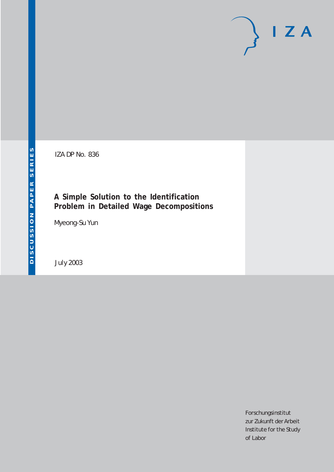# $I Z A$

IZA DP No. 836

## **A Simple Solution to the Identification Problem in Detailed Wage Decompositions**

Myeong-Su Yun

July 2003

Forschungsinstitut zur Zukunft der Arbeit Institute for the Study of Labor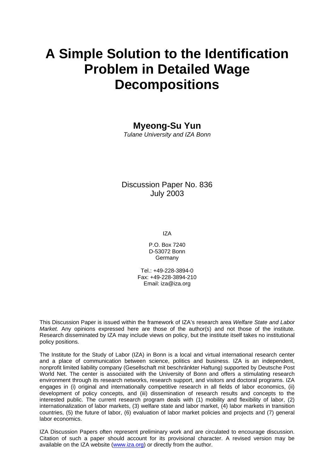# **A Simple Solution to the Identification Problem in Detailed Wage Decompositions**

### **Myeong-Su Yun**

*Tulane University and IZA Bonn* 

Discussion Paper No. 836 July 2003

IZA

P.O. Box 7240 D-53072 Bonn Germany

Tel.: +49-228-3894-0 Fax: +49-228-3894-210 Email: [iza@iza.org](mailto:iza@iza.org)

This Discussion Paper is issued within the framework of IZA's research area *Welfare State and Labor Market.* Any opinions expressed here are those of the author(s) and not those of the institute. Research disseminated by IZA may include views on policy, but the institute itself takes no institutional policy positions.

The Institute for the Study of Labor (IZA) in Bonn is a local and virtual international research center and a place of communication between science, politics and business. IZA is an independent, nonprofit limited liability company (Gesellschaft mit beschränkter Haftung) supported by Deutsche Post World Net. The center is associated with the University of Bonn and offers a stimulating research environment through its research networks, research support, and visitors and doctoral programs. IZA engages in (i) original and internationally competitive research in all fields of labor economics, (ii) development of policy concepts, and (iii) dissemination of research results and concepts to the interested public. The current research program deals with (1) mobility and flexibility of labor, (2) internationalization of labor markets, (3) welfare state and labor market, (4) labor markets in transition countries, (5) the future of labor, (6) evaluation of labor market policies and projects and (7) general labor economics.

IZA Discussion Papers often represent preliminary work and are circulated to encourage discussion. Citation of such a paper should account for its provisional character. A revised version may be available on the IZA website ([www.iza.org](http://www.iza.org/)) or directly from the author.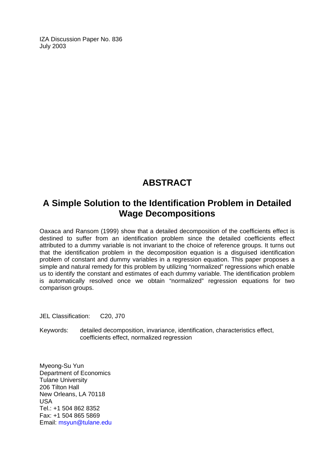IZA Discussion Paper No. 836 July 2003

## **ABSTRACT**

## **A Simple Solution to the Identification Problem in Detailed Wage Decompositions**

Oaxaca and Ransom (1999) show that a detailed decomposition of the coefficients effect is destined to suffer from an identification problem since the detailed coefficients effect attributed to a dummy variable is not invariant to the choice of reference groups. It turns out that the identification problem in the decomposition equation is a disguised identification problem of constant and dummy variables in a regression equation. This paper proposes a simple and natural remedy for this problem by utilizing "normalized" regressions which enable us to identify the constant and estimates of each dummy variable. The identification problem is automatically resolved once we obtain "normalized" regression equations for two comparison groups.

JEL Classification: C20, J70

Keywords: detailed decomposition, invariance, identification, characteristics effect, coefficients effect, normalized regression

Myeong-Su Yun Department of Economics Tulane University 206 Tilton Hall New Orleans, LA 70118 USA Tel.: +1 504 862 8352 Fax: +1 504 865 5869 Email: [msyun@tulane.edu](mailto:msyun@tulane.edu)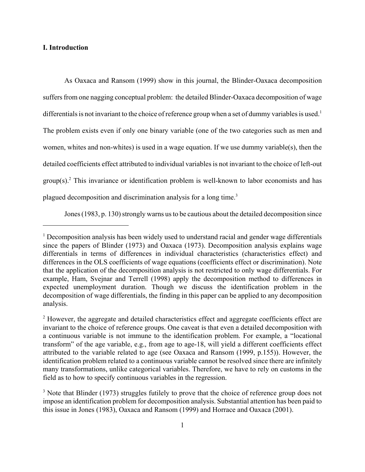#### **I. Introduction**

As Oaxaca and Ransom (1999) show in this journal, the Blinder-Oaxaca decomposition suffers from one nagging conceptual problem: the detailed Blinder-Oaxaca decomposition of wage differentials is not invariant to the choice of reference group when a set of dummy variables is used.<sup>1</sup> The problem exists even if only one binary variable (one of the two categories such as men and women, whites and non-whites) is used in a wage equation. If we use dummy variable(s), then the detailed coefficients effect attributed to individual variables is not invariant to the choice of left-out  $group(s)<sup>2</sup>$  This invariance or identification problem is well-known to labor economists and has plagued decomposition and discrimination analysis for a long time.3

Jones (1983, p. 130) strongly warns us to be cautious about the detailed decomposition since

<sup>&</sup>lt;sup>1</sup> Decomposition analysis has been widely used to understand racial and gender wage differentials since the papers of Blinder (1973) and Oaxaca (1973). Decomposition analysis explains wage differentials in terms of differences in individual characteristics (characteristics effect) and differences in the OLS coefficients of wage equations (coefficients effect or discrimination). Note that the application of the decomposition analysis is not restricted to only wage differentials. For example, Ham, Svejnar and Terrell (1998) apply the decomposition method to differences in expected unemployment duration. Though we discuss the identification problem in the decomposition of wage differentials, the finding in this paper can be applied to any decomposition analysis.

<sup>&</sup>lt;sup>2</sup> However, the aggregate and detailed characteristics effect and aggregate coefficients effect are invariant to the choice of reference groups. One caveat is that even a detailed decomposition with a continuous variable is not immune to the identification problem. For example, a "locational transform" of the age variable, e.g., from age to age-18, will yield a different coefficients effect attributed to the variable related to age (see Oaxaca and Ransom (1999, p.155)). However, the identification problem related to a continuous variable cannot be resolved since there are infinitely many transformations, unlike categorical variables. Therefore, we have to rely on customs in the field as to how to specify continuous variables in the regression.

<sup>&</sup>lt;sup>3</sup> Note that Blinder (1973) struggles futilely to prove that the choice of reference group does not impose an identification problem for decomposition analysis. Substantial attention has been paid to this issue in Jones (1983), Oaxaca and Ransom (1999) and Horrace and Oaxaca (2001).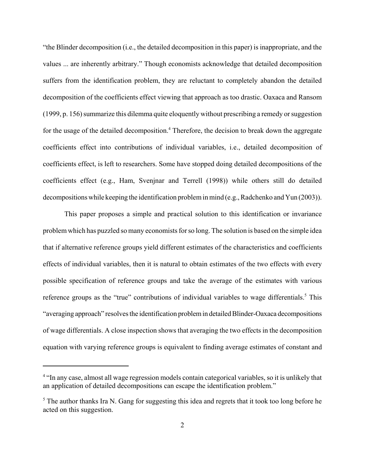"the Blinder decomposition (i.e., the detailed decomposition in this paper) is inappropriate, and the values ... are inherently arbitrary." Though economists acknowledge that detailed decomposition suffers from the identification problem, they are reluctant to completely abandon the detailed decomposition of the coefficients effect viewing that approach as too drastic. Oaxaca and Ransom (1999, p. 156) summarize this dilemma quite eloquently without prescribing a remedy or suggestion for the usage of the detailed decomposition.<sup>4</sup> Therefore, the decision to break down the aggregate coefficients effect into contributions of individual variables, i.e., detailed decomposition of coefficients effect, is left to researchers. Some have stopped doing detailed decompositions of the coefficients effect (e.g., Ham, Svenjnar and Terrell (1998)) while others still do detailed decompositions while keeping the identification problem in mind (e.g., Radchenko and Yun (2003)).

This paper proposes a simple and practical solution to this identification or invariance problem which has puzzled so many economists for so long. The solution is based on the simple idea that if alternative reference groups yield different estimates of the characteristics and coefficients effects of individual variables, then it is natural to obtain estimates of the two effects with every possible specification of reference groups and take the average of the estimates with various reference groups as the "true" contributions of individual variables to wage differentials.<sup>5</sup> This "averaging approach" resolves the identification problem in detailed Blinder-Oaxaca decompositions of wage differentials. A close inspection shows that averaging the two effects in the decomposition equation with varying reference groups is equivalent to finding average estimates of constant and

<sup>&</sup>lt;sup>4</sup> "In any case, almost all wage regression models contain categorical variables, so it is unlikely that an application of detailed decompositions can escape the identification problem."

 $<sup>5</sup>$  The author thanks Ira N. Gang for suggesting this idea and regrets that it took too long before he</sup> acted on this suggestion.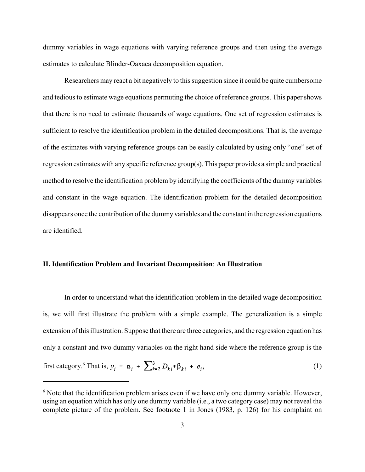dummy variables in wage equations with varying reference groups and then using the average estimates to calculate Blinder-Oaxaca decomposition equation.

Researchers may react a bit negatively to this suggestion since it could be quite cumbersome and tedious to estimate wage equations permuting the choice of reference groups. This paper shows that there is no need to estimate thousands of wage equations. One set of regression estimates is sufficient to resolve the identification problem in the detailed decompositions. That is, the average of the estimates with varying reference groups can be easily calculated by using only "one" set of regression estimates with any specific reference group(s). This paper provides a simple and practical method to resolve the identification problem by identifying the coefficients of the dummy variables and constant in the wage equation. The identification problem for the detailed decomposition disappears once the contribution of the dummy variables and the constant in the regression equations are identified.

#### **II. Identification Problem and Invariant Decomposition**: **An Illustration**

In order to understand what the identification problem in the detailed wage decomposition is, we will first illustrate the problem with a simple example. The generalization is a simple extension of this illustration. Suppose that there are three categories, and the regression equation has only a constant and two dummy variables on the right hand side where the reference group is the first category.<sup>6</sup> That is,  $y_i = \alpha_i + \sum_{k=2}^{3} D_{ki} * \beta_{ki} + e_i,$  (1)

<sup>&</sup>lt;sup>6</sup> Note that the identification problem arises even if we have only one dummy variable. However, using an equation which has only one dummy variable (i.e., a two category case) may not reveal the complete picture of the problem. See footnote 1 in Jones (1983, p. 126) for his complaint on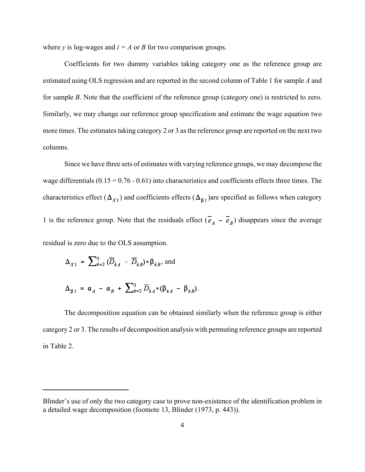where  $y$  is log-wages and  $i = A$  or *B* for two comparison groups.

Coefficients for two dummy variables taking category one as the reference group are estimated using OLS regression and are reported in the second column of Table 1 for sample *A* and for sample *B*. Note that the coefficient of the reference group (category one) is restricted to zero. Similarly, we may change our reference group specification and estimate the wage equation two more times. The estimates taking category 2 or 3 as the reference group are reported on the next two columns.

Since we have three sets of estimates with varying reference groups, we may decompose the wage differentials  $(0.15 = 0.76 - 0.61)$  into characteristics and coefficients effects three times. The characteristics effect ( $\Delta_{x_1}$ ) and coefficients effects ( $\Delta_{\beta_1}$ ) are specified as follows when category 1 is the reference group. Note that the residuals effect  $(\vec{e}_A - \vec{e}_B)$  disappears since the average residual is zero due to the OLS assumption.

$$
\Delta_{X1} = \sum_{k=2}^{3} (\overline{D}_{kA} - \overline{D}_{kB}) \ast \beta_{kB}, \text{and}
$$

$$
\Delta_{\beta 1} = \alpha_A - \alpha_B + \sum_{k=2}^3 \overline{D}_{kA} * (\beta_{kA} - \beta_{kB}).
$$

The decomposition equation can be obtained similarly when the reference group is either category 2 or 3. The results of decomposition analysis with permuting reference groups are reported in Table 2.

Blinder's use of only the two category case to prove non-existence of the identification problem in a detailed wage decomposition (footnote 13, Blinder (1973, p. 443)).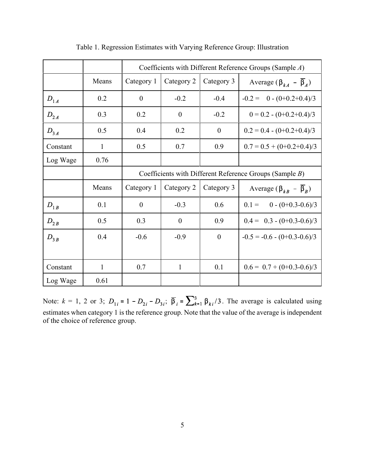|          |              | Coefficients with Different Reference Groups (Sample A) |                |                  |                                                 |  |  |
|----------|--------------|---------------------------------------------------------|----------------|------------------|-------------------------------------------------|--|--|
|          | Means        | Category 1                                              | Category 2     | Category 3       | Average ( $\beta_{kA}$ – $\overline{\beta}_A$ ) |  |  |
| $D_{1A}$ | 0.2          | $\overline{0}$                                          | $-0.2$         | $-0.4$           | $-0.2 = 0 - (0+0.2+0.4)/3$                      |  |  |
| $D_{2A}$ | 0.3          | 0.2                                                     | $\overline{0}$ | $-0.2$           | $0 = 0.2 - (0+0.2+0.4)/3$                       |  |  |
| $D_{3A}$ | 0.5          | 0.4                                                     | 0.2            | $\theta$         | $0.2 = 0.4 - (0+0.2+0.4)/3$                     |  |  |
| Constant | $\mathbf{1}$ | 0.5                                                     | 0.7            | 0.9              | $0.7 = 0.5 + (0 + 0.2 + 0.4)/3$                 |  |  |
| Log Wage | 0.76         |                                                         |                |                  |                                                 |  |  |
|          |              | Coefficients with Different Reference Groups (Sample B) |                |                  |                                                 |  |  |
|          | Means        | Category 1                                              | Category 2     | Category 3       | Average ( $\beta_{kB}$ – $\overline{\beta}_R$ ) |  |  |
| $D_{1B}$ | 0.1          | $\boldsymbol{0}$                                        | $-0.3$         | 0.6              | $0.1 = 0 - (0+0.3-0.6)/3$                       |  |  |
| $D_{2B}$ | 0.5          | 0.3                                                     | $\overline{0}$ | 0.9              | $0.4 = 0.3 - (0 + 0.3 - 0.6)/3$                 |  |  |
| $D_{3B}$ | 0.4          | $-0.6$                                                  | $-0.9$         | $\boldsymbol{0}$ | $-0.5 = -0.6 - (0 + 0.3 - 0.6)/3$               |  |  |
|          |              |                                                         |                |                  |                                                 |  |  |
| Constant | $\mathbf{1}$ | 0.7                                                     | $\mathbf{1}$   | 0.1              | $0.6 = 0.7 + (0 + 0.3 - 0.6)/3$                 |  |  |
| Log Wage | 0.61         |                                                         |                |                  |                                                 |  |  |

Table 1. Regression Estimates with Varying Reference Group: Illustration

Note:  $k = 1$ , 2 or 3;  $D_{1i} = 1 - D_{2i} - D_{3i}$ ;  $\overline{\beta}_i = \sum_{k=1}^3 \beta_{ki}/3$ . The average is calculated using estimates when category 1 is the reference group. Note that the value of the average is independent of the choice of reference group.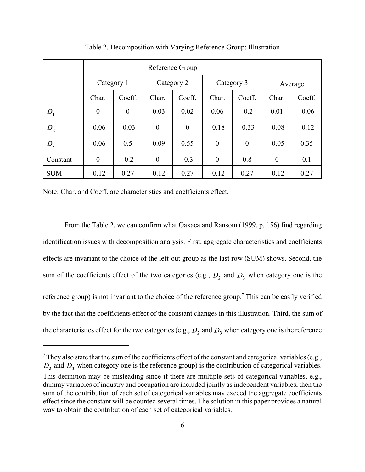|            | Reference Group |                |            |          |            |          |          |         |
|------------|-----------------|----------------|------------|----------|------------|----------|----------|---------|
|            | Category 1      |                | Category 2 |          | Category 3 |          | Average  |         |
|            | Char.           | Coeff.         | Char.      | Coeff.   | Char.      | Coeff.   | Char.    | Coeff.  |
| $D_1$      | $\overline{0}$  | $\overline{0}$ | $-0.03$    | 0.02     | 0.06       | $-0.2$   | 0.01     | $-0.06$ |
| $D_{2}$    | $-0.06$         | $-0.03$        | $\theta$   | $\theta$ | $-0.18$    | $-0.33$  | $-0.08$  | $-0.12$ |
| $D_3$      | $-0.06$         | 0.5            | $-0.09$    | 0.55     | $\theta$   | $\theta$ | $-0.05$  | 0.35    |
| Constant   | $\theta$        | $-0.2$         | $\theta$   | $-0.3$   | $\theta$   | 0.8      | $\theta$ | 0.1     |
| <b>SUM</b> | $-0.12$         | 0.27           | $-0.12$    | 0.27     | $-0.12$    | 0.27     | $-0.12$  | 0.27    |

Table 2. Decomposition with Varying Reference Group: Illustration

Note: Char. and Coeff. are characteristics and coefficients effect.

From the Table 2, we can confirm what Oaxaca and Ransom (1999, p. 156) find regarding identification issues with decomposition analysis. First, aggregate characteristics and coefficients effects are invariant to the choice of the left-out group as the last row (SUM) shows. Second, the sum of the coefficients effect of the two categories (e.g.,  $D_2$  and  $D_3$  when category one is the reference group) is not invariant to the choice of the reference group.<sup>7</sup> This can be easily verified by the fact that the coefficients effect of the constant changes in this illustration. Third, the sum of the characteristics effect for the two categories (e.g.,  $D_2$  and  $D_3$  when category one is the reference

<sup>&</sup>lt;sup>7</sup> They also state that the sum of the coefficients effect of the constant and categorical variables (e.g.,  $D_2$  and  $D_3$  when category one is the reference group) is the contribution of categorical variables. This definition may be misleading since if there are multiple sets of categorical variables, e.g., dummy variables of industry and occupation are included jointly as independent variables, then the sum of the contribution of each set of categorical variables may exceed the aggregate coefficients effect since the constant will be counted several times. The solution in this paper provides a natural way to obtain the contribution of each set of categorical variables.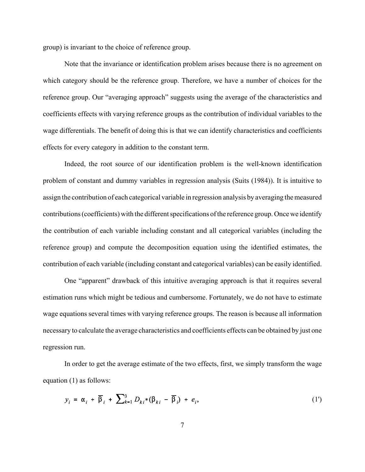group) is invariant to the choice of reference group.

Note that the invariance or identification problem arises because there is no agreement on which category should be the reference group. Therefore, we have a number of choices for the reference group. Our "averaging approach" suggests using the average of the characteristics and coefficients effects with varying reference groups as the contribution of individual variables to the wage differentials. The benefit of doing this is that we can identify characteristics and coefficients effects for every category in addition to the constant term.

Indeed, the root source of our identification problem is the well-known identification problem of constant and dummy variables in regression analysis (Suits (1984)). It is intuitive to assign the contribution of each categorical variable in regression analysis by averaging the measured contributions (coefficients) with the different specifications of the reference group. Once we identify the contribution of each variable including constant and all categorical variables (including the reference group) and compute the decomposition equation using the identified estimates, the contribution of each variable (including constant and categorical variables) can be easily identified.

One "apparent" drawback of this intuitive averaging approach is that it requires several estimation runs which might be tedious and cumbersome. Fortunately, we do not have to estimate wage equations several times with varying reference groups. The reason is because all information necessary to calculate the average characteristics and coefficients effects can be obtained by just one regression run.

In order to get the average estimate of the two effects, first, we simply transform the wage equation (1) as follows:

$$
y_i = \alpha_i + \overline{\beta}_i + \sum_{k=1}^3 D_{ki} * (\beta_{ki} - \overline{\beta}_i) + e_i,
$$
 (1')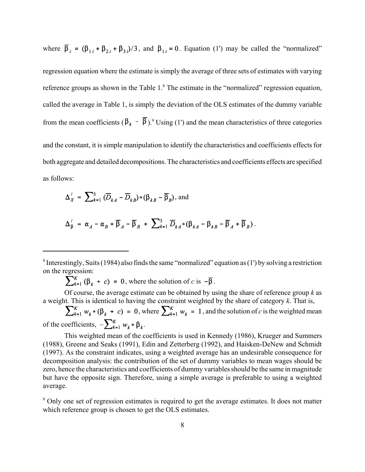where  $\overline{\beta}_i = (\beta_{1i} + \beta_{2i} + \beta_{3i})/3$ , and  $\beta_{1i} = 0$ . Equation (1') may be called the "normalized"

regression equation where the estimate is simply the average of three sets of estimates with varying reference groups as shown in the Table  $1.8$  The estimate in the "normalized" regression equation, called the average in Table 1, is simply the deviation of the OLS estimates of the dummy variable from the mean coefficients ( $\beta_k - \beta$ ).<sup>9</sup> Using (1') and the mean characteristics of three categories and the constant, it is simple manipulation to identify the characteristics and coefficients effects for both aggregate and detailed decompositions. The characteristics and coefficients effects are specified as follows:

$$
\Delta'_X = \sum_{k=1}^3 (\overline{D}_{kA} - \overline{D}_{kB}) \cdot (\beta_{kB} - \overline{\beta}_B), \text{ and}
$$

$$
\Delta'_{\beta} = \alpha_A - \alpha_B + \overline{\beta}_A - \overline{\beta}_B + \sum_{k=1}^3 \overline{D}_{kA} * (\beta_{kA} - \beta_{kB} - \overline{\beta}_A + \overline{\beta}_B).
$$

 $\sum_{k=1}^{K} (\beta_k + c) = 0$ , where the solution of *c* is  $-\overline{\beta}$ .

Of course, the average estimate can be obtained by using the share of reference group *k* as a weight. This is identical to having the constraint weighted by the share of category *k*. That is,

 $\sum_{k=1}^{K} w_k * (\beta_k + c) = 0$ , where  $\sum_{k=1}^{K} w_k = 1$ , and the solution of *c* is the weighted mean of the coefficients,  $-\sum_{k=1}^{K} w_k * \beta_k$ .

This weighted mean of the coefficients is used in Kennedy (1986), Krueger and Summers (1988), Greene and Seaks (1991), Edin and Zetterberg (1992), and Haisken-DeNew and Schmidt (1997). As the constraint indicates, using a weighted average has an undesirable consequence for decomposition analysis: the contribution of the set of dummy variables to mean wages should be zero, hence the characteristics and coefficients of dummy variables should be the same in magnitude but have the opposite sign. Therefore, using a simple average is preferable to using a weighted average.

<sup>9</sup> Only one set of regression estimates is required to get the average estimates. It does not matter which reference group is chosen to get the OLS estimates.

<sup>&</sup>lt;sup>8</sup> Interestingly, Suits (1984) also finds the same "normalized" equation as (1') by solving a restriction on the regression: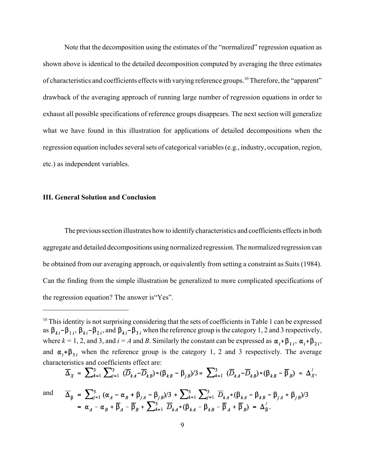Note that the decomposition using the estimates of the "normalized" regression equation as shown above is identical to the detailed decomposition computed by averaging the three estimates of characteristics and coefficients effects with varying reference groups.10 Therefore, the "apparent" drawback of the averaging approach of running large number of regression equations in order to exhaust all possible specifications of reference groups disappears. The next section will generalize what we have found in this illustration for applications of detailed decompositions when the regression equation includes several sets of categorical variables (e.g., industry, occupation, region, etc.) as independent variables.

#### **III. General Solution and Conclusion**

The previous section illustrates how to identify characteristics and coefficients effects in both aggregate and detailed decompositions using normalized regression. The normalized regression can be obtained from our averaging approach, or equivalently from setting a constraint as Suits (1984). Can the finding from the simple illustration be generalized to more complicated specifications of the regression equation? The answer is"Yes".

$$
\overline{\Delta}_X = \sum_{k=1}^3 \sum_{j=1}^3 (\overline{D}_{kA} - \overline{D}_{kB}) * (\beta_{kB} - \beta_{jB}) / 3 = \sum_{k=1}^3 (\overline{D}_{kA} - \overline{D}_{kB}) * (\beta_{kB} - \overline{\beta}_B) = \Delta'_X,
$$
  
and 
$$
\overline{\Delta}_{\beta} = \sum_{j=1}^3 (\alpha_A - \alpha_B + \beta_{jA} - \beta_{jB}) / 3 + \sum_{k=1}^3 \sum_{j=1}^3 \overline{D}_{kA} * (\beta_{kA} - \beta_{kB} - \beta_{jA} + \beta_{jB}) / 3
$$

$$
= \alpha_A - \alpha_B + \overline{\beta}_A - \overline{\beta}_B + \sum_{k=1}^3 \overline{D}_{kA} * (\beta_{kA} - \beta_{kB} - \overline{\beta}_A + \overline{\beta}_B) = \Delta'_\beta.
$$

<sup>&</sup>lt;sup>10</sup> This identity is not surprising considering that the sets of coefficients in Table 1 can be expressed as  $\beta_{ki}$  –  $\beta_{1i}$ ,  $\beta_{ki}$  –  $\beta_{2i}$ , and  $\beta_{ki}$  –  $\beta_{3i}$  when the reference group is the category 1, 2 and 3 respectively, where  $k = 1, 2$ , and 3, and  $i = A$  and *B*. Similarly the constant can be expressed as  $\alpha_i + \beta_{1i}$ ,  $\alpha_i + \beta_{2i}$ , and  $\alpha_i$ + $\beta_{3i}$  when the reference group is the category 1, 2 and 3 respectively. The average characteristics and coefficients effect are: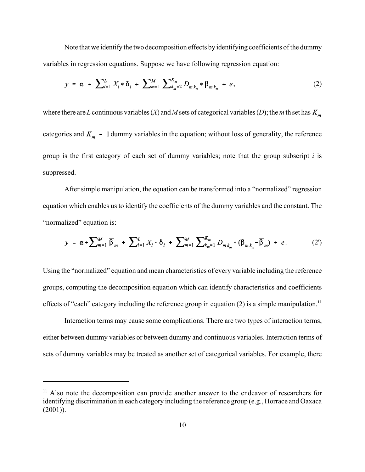Note that we identify the two decomposition effects by identifying coefficients of the dummy variables in regression equations. Suppose we have following regression equation:

$$
y = \alpha + \sum_{l=1}^{L} X_l * \delta_l + \sum_{m=1}^{M} \sum_{k_m=2}^{K_m} D_{m k_m} * \beta_{m k_m} + e,
$$
 (2)

where there are *L* continuous variables (*X*) and *M* sets of categorical variables (*D*); the *m* th set has  $K_m$ categories and  $K_m$  - 1 dummy variables in the equation; without loss of generality, the reference group is the first category of each set of dummy variables; note that the group subscript *i* is suppressed.

After simple manipulation, the equation can be transformed into a "normalized" regression equation which enables us to identify the coefficients of the dummy variables and the constant. The "normalized" equation is:

$$
y = \alpha + \sum_{m=1}^{M} \overline{\beta}_m + \sum_{l=1}^{L} X_l * \delta_l + \sum_{m=1}^{M} \sum_{k=1}^{K_m} D_{m k_m} * (\beta_{m k_m} - \overline{\beta}_m) + e. \tag{2'}
$$

Using the "normalized" equation and mean characteristics of every variable including the reference groups, computing the decomposition equation which can identify characteristics and coefficients effects of "each" category including the reference group in equation  $(2)$  is a simple manipulation.<sup>11</sup>

Interaction terms may cause some complications. There are two types of interaction terms, either between dummy variables or between dummy and continuous variables. Interaction terms of sets of dummy variables may be treated as another set of categorical variables. For example, there

 $11$  Also note the decomposition can provide another answer to the endeavor of researchers for identifying discrimination in each category including the reference group (e.g., Horrace and Oaxaca  $(2001)$ ).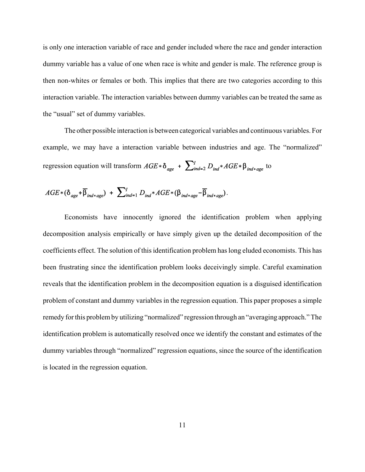is only one interaction variable of race and gender included where the race and gender interaction dummy variable has a value of one when race is white and gender is male. The reference group is then non-whites or females or both. This implies that there are two categories according to this interaction variable. The interaction variables between dummy variables can be treated the same as the "usual" set of dummy variables.

The other possible interaction is between categorical variables and continuous variables. For example, we may have a interaction variable between industries and age. The "normalized" regression equation will transform  $AGE * \delta_{age} + \sum_{ind=2}^{N} D_{ind} * AGE * \beta_{ind*age}$  to

$$
AGE * (\delta_{age} + \overline{\beta}_{ind*age}) + \sum_{ind=1}^{I} D_{ind} * AGE * (\beta_{ind*age} - \overline{\beta}_{ind*age}).
$$

Economists have innocently ignored the identification problem when applying decomposition analysis empirically or have simply given up the detailed decomposition of the coefficients effect. The solution of this identification problem has long eluded economists. This has been frustrating since the identification problem looks deceivingly simple. Careful examination reveals that the identification problem in the decomposition equation is a disguised identification problem of constant and dummy variables in the regression equation. This paper proposes a simple remedy for this problem by utilizing "normalized" regression through an "averaging approach." The identification problem is automatically resolved once we identify the constant and estimates of the dummy variables through "normalized" regression equations, since the source of the identification is located in the regression equation.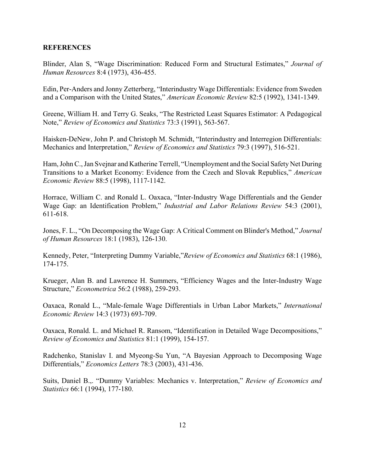#### **REFERENCES**

Blinder, Alan S, "Wage Discrimination: Reduced Form and Structural Estimates," *Journal of Human Resources* 8:4 (1973), 436-455.

Edin, Per-Anders and Jonny Zetterberg, "Interindustry Wage Differentials: Evidence from Sweden and a Comparison with the United States," *American Economic Review* 82:5 (1992), 1341-1349.

Greene, William H. and Terry G. Seaks, "The Restricted Least Squares Estimator: A Pedagogical Note," *Review of Economics and Statistics* 73:3 (1991), 563-567.

Haisken-DeNew, John P. and Christoph M. Schmidt, "Interindustry and Interregion Differentials: Mechanics and Interpretation," *Review of Economics and Statistics* 79:3 (1997), 516-521.

Ham, John C., Jan Svejnar and Katherine Terrell, "Unemployment and the Social Safety Net During Transitions to a Market Economy: Evidence from the Czech and Slovak Republics," *American Economic Review* 88:5 (1998), 1117-1142.

Horrace, William C. and Ronald L. Oaxaca, "Inter-Industry Wage Differentials and the Gender Wage Gap: an Identification Problem," *Industrial and Labor Relations Review* 54:3 (2001), 611-618.

Jones, F. L., "On Decomposing the Wage Gap: A Critical Comment on Blinder's Method," *Journal of Human Resources* 18:1 (1983), 126-130.

Kennedy, Peter, "Interpreting Dummy Variable,"*Review of Economics and Statistics* 68:1 (1986), 174-175.

Krueger, Alan B. and Lawrence H. Summers, "Efficiency Wages and the Inter-Industry Wage Structure," *Econometrica* 56:2 (1988), 259-293.

Oaxaca, Ronald L., "Male-female Wage Differentials in Urban Labor Markets," *International Economic Review* 14:3 (1973) 693-709.

Oaxaca, Ronald. L. and Michael R. Ransom, "Identification in Detailed Wage Decompositions," *Review of Economics and Statistics* 81:1 (1999), 154-157.

Radchenko, Stanislav I. and Myeong-Su Yun, "A Bayesian Approach to Decomposing Wage Differentials," *Economics Letters* 78:3 (2003), 431-436.

Suits, Daniel B.,. "Dummy Variables: Mechanics v. Interpretation," *Review of Economics and Statistics* 66:1 (1994), 177-180.